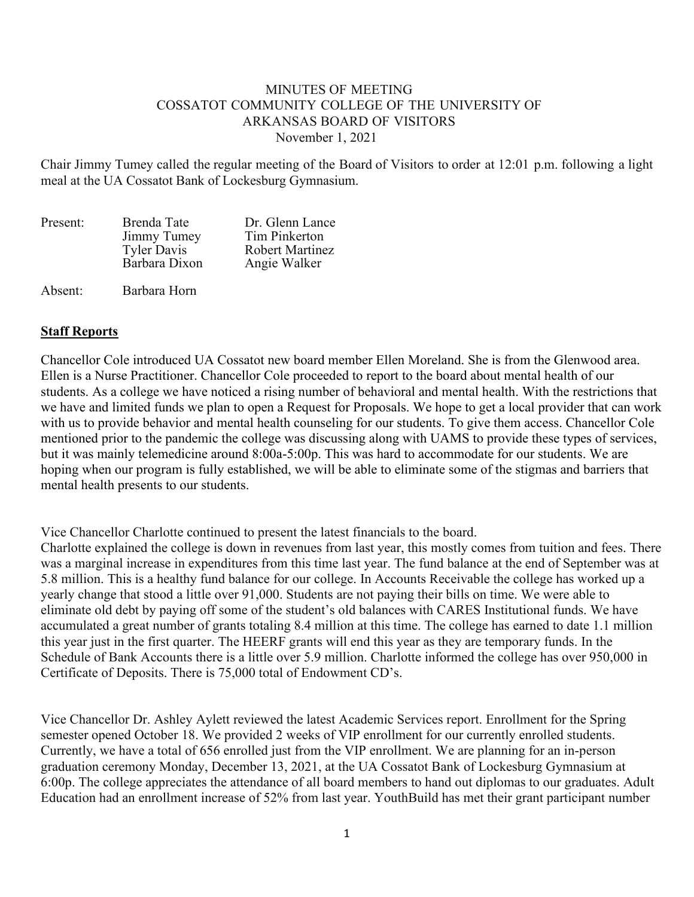## MINUTES OF MEETING COSSATOT COMMUNITY COLLEGE OF THE UNIVERSITY OF ARKANSAS BOARD OF VISITORS November 1, 2021

Chair Jimmy Tumey called the regular meeting of the Board of Visitors to order at 12:01 p.m. following a light meal at the UA Cossatot Bank of Lockesburg Gymnasium.

| Present: | Brenda Tate        | Dr. Glenn Lance |
|----------|--------------------|-----------------|
|          | Jimmy Tumey        | Tim Pinkerton   |
|          | <b>Tyler Davis</b> | Robert Martinez |
|          | Barbara Dixon      | Angie Walker    |
| Absent:  | Barbara Horn       |                 |

## **Staff Reports**

Chancellor Cole introduced UA Cossatot new board member Ellen Moreland. She is from the Glenwood area. Ellen is a Nurse Practitioner. Chancellor Cole proceeded to report to the board about mental health of our students. As a college we have noticed a rising number of behavioral and mental health. With the restrictions that we have and limited funds we plan to open a Request for Proposals. We hope to get a local provider that can work with us to provide behavior and mental health counseling for our students. To give them access. Chancellor Cole mentioned prior to the pandemic the college was discussing along with UAMS to provide these types of services, but it was mainly telemedicine around 8:00a-5:00p. This was hard to accommodate for our students. We are hoping when our program is fully established, we will be able to eliminate some of the stigmas and barriers that mental health presents to our students.

Vice Chancellor Charlotte continued to present the latest financials to the board.

Charlotte explained the college is down in revenues from last year, this mostly comes from tuition and fees. There was a marginal increase in expenditures from this time last year. The fund balance at the end of September was at 5.8 million. This is a healthy fund balance for our college. In Accounts Receivable the college has worked up a yearly change that stood a little over 91,000. Students are not paying their bills on time. We were able to eliminate old debt by paying off some of the student's old balances with CARES Institutional funds. We have accumulated a great number of grants totaling 8.4 million at this time. The college has earned to date 1.1 million this year just in the first quarter. The HEERF grants will end this year as they are temporary funds. In the Schedule of Bank Accounts there is a little over 5.9 million. Charlotte informed the college has over 950,000 in Certificate of Deposits. There is 75,000 total of Endowment CD's.

Vice Chancellor Dr. Ashley Aylett reviewed the latest Academic Services report. Enrollment for the Spring semester opened October 18. We provided 2 weeks of VIP enrollment for our currently enrolled students. Currently, we have a total of 656 enrolled just from the VIP enrollment. We are planning for an in-person graduation ceremony Monday, December 13, 2021, at the UA Cossatot Bank of Lockesburg Gymnasium at 6:00p. The college appreciates the attendance of all board members to hand out diplomas to our graduates. Adult Education had an enrollment increase of 52% from last year. YouthBuild has met their grant participant number